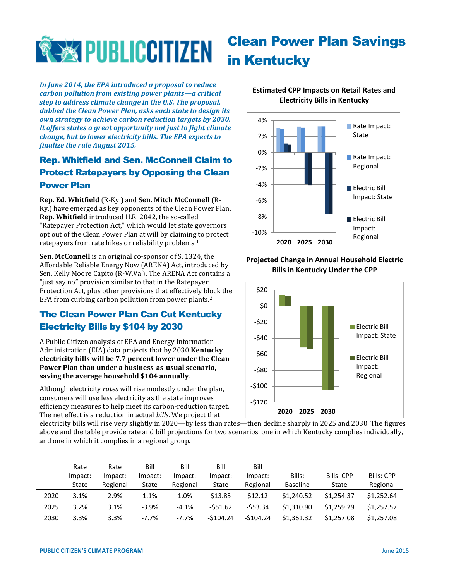

*In June 2014, the EPA introduced a proposal to reduce carbon pollution from existing power plants—a critical step to address climate change in the U.S. The proposal, dubbed the Clean Power Plan, asks each state to design its own strategy to achieve carbon reduction targets by 2030. It offers states a great opportunity not just to fight climate change, but to lower electricity bills. The EPA expects to finalize the rule August 2015.*

## Rep. Whitfield and Sen. McConnell Claim to Protect Ratepayers by Opposing the Clean Power Plan

**Rep. Ed. Whitfield** (R-Ky.) and **Sen. Mitch McConnell** (R-Ky.) have emerged as key opponents of the Clean Power Plan. **Rep. Whitfield** introduced H.R. 2042, the so-called "Ratepayer Protection Act," which would let state governors opt out of the Clean Power Plan at will by claiming to protect ratepayers from rate hikes or reliability problems.<sup>1</sup>

**Sen. McConnell** is an original co-sponsor of S. 1324, the Affordable Reliable Energy Now (ARENA) Act, introduced by Sen. Kelly Moore Capito (R-W.Va.). The ARENA Act contains a "just say no" provision similar to that in the Ratepayer Protection Act, plus other provisions that effectively block the EPA from curbing carbon pollution from power plants.<sup>2</sup>

## The Clean Power Plan Can Cut Kentucky Electricity Bills by \$104 by 2030

A Public Citizen analysis of EPA and Energy Information Administration (EIA) data projects that by 2030 **Kentucky electricity bills will be 7.7 percent lower under the Clean Power Plan than under a business-as-usual scenario, saving the average household \$104 annually**.

Although electricity *rates* will rise modestly under the plan, consumers will use less electricity as the state improves efficiency measures to help meet its carbon-reduction target. The net effect is a reduction in actual *bills*. We project that

# **Estimated CPP Impacts on Retail Rates and Electricity Bills in Kentucky**

Clean Power Plan Savings

in Kentucky



#### **Projected Change in Annual Household Electric Bills in Kentucky Under the CPP**



electricity bills will rise very slightly in 2020—by less than rates—then decline sharply in 2025 and 2030. The figures above and the table provide rate and bill projections for two scenarios, one in which Kentucky complies individually, and one in which it complies in a regional group.

|      | Rate    | Rate     | Bill     | Bill     | Bill       | Bill       |                 |            |                   |
|------|---------|----------|----------|----------|------------|------------|-----------------|------------|-------------------|
|      | Impact: | Impact:  | Impact:  | Impact:  | Impact:    | Impact:    | Bills:          | Bills: CPP | <b>Bills: CPP</b> |
|      | State   | Regional | State    | Regional | State      | Regional   | <b>Baseline</b> | State      | Regional          |
| 2020 | 3.1%    | 2.9%     | 1.1%     | 1.0%     | \$13.85    | \$12.12    | \$1,240.52      | \$1.254.37 | \$1,252.64        |
| 2025 | 3.2%    | 3.1%     | $-3.9%$  | $-4.1%$  | $-551.62$  | $-553.34$  | \$1.310.90      | \$1,259.29 | \$1,257.57        |
| 2030 | 3.3%    | 3.3%     | $-7.7\%$ | $-7.7%$  | $-5104.24$ | $-5104.24$ | \$1,361.32      | \$1,257.08 | \$1,257.08        |